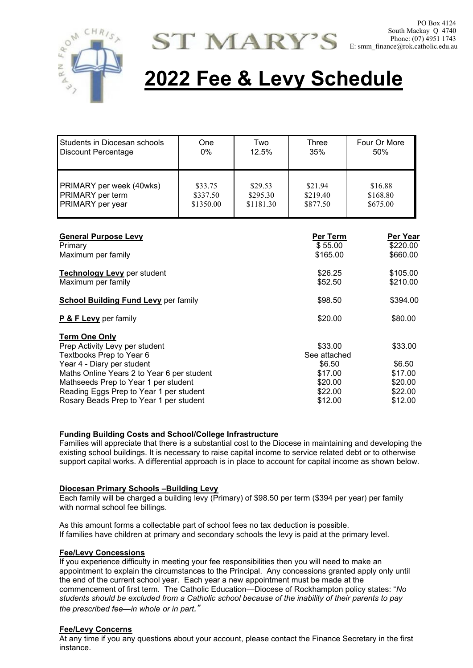



# **2022 Fee & Levy Schedule**

| Students in Diocesan schools<br>Discount Percentage              | One<br>$0\%$                     | Two<br>12.5%                     | Three<br>35%                    | Four Or More<br>50%             |
|------------------------------------------------------------------|----------------------------------|----------------------------------|---------------------------------|---------------------------------|
| PRIMARY per week (40wks)<br>PRIMARY per term<br>PRIMARY per year | \$33.75<br>\$337.50<br>\$1350.00 | \$29.53<br>\$295.30<br>\$1181.30 | \$21.94<br>\$219.40<br>\$877.50 | \$16.88<br>\$168.80<br>\$675.00 |
| <b>General Purpose Levy</b>                                      |                                  |                                  | Per Term                        | <b>Per Year</b>                 |
| Primary                                                          |                                  |                                  | \$55.00                         | \$220.00                        |
| Maximum per family                                               |                                  |                                  | \$165.00                        | \$660.00                        |
| Technology Levy per student                                      |                                  |                                  | \$26.25                         | \$105.00                        |
| Maximum per family                                               | \$52.50                          | \$210.00                         |                                 |                                 |
| <b>School Building Fund Levy per family</b>                      | \$98.50                          | \$394.00                         |                                 |                                 |
| P & F Levy per family                                            | \$20.00                          | \$80.00                          |                                 |                                 |
| <b>Term One Only</b>                                             |                                  |                                  |                                 |                                 |
| Prep Activity Levy per student                                   | \$33.00                          | \$33.00                          |                                 |                                 |
| Textbooks Prep to Year 6                                         | See attached                     |                                  |                                 |                                 |
| Year 4 - Diary per student                                       | \$6.50                           | \$6.50                           |                                 |                                 |
| Maths Online Years 2 to Year 6 per student                       | \$17.00                          | \$17.00                          |                                 |                                 |
| Mathseeds Prep to Year 1 per student                             | \$20.00                          | \$20.00                          |                                 |                                 |
| Reading Eggs Prep to Year 1 per student                          | \$22.00                          | \$22.00                          |                                 |                                 |
| Rosary Beads Prep to Year 1 per student                          | \$12.00                          | \$12.00                          |                                 |                                 |

### **Funding Building Costs and School/College Infrastructure**

Families will appreciate that there is a substantial cost to the Diocese in maintaining and developing the existing school buildings. It is necessary to raise capital income to service related debt or to otherwise support capital works. A differential approach is in place to account for capital income as shown below.

#### **Diocesan Primary Schools –Building Levy**

Each family will be charged a building levy (Primary) of \$98.50 per term (\$394 per year) per family with normal school fee billings.

As this amount forms a collectable part of school fees no tax deduction is possible. If families have children at primary and secondary schools the levy is paid at the primary level.

#### **Fee/Levy Concessions**

If you experience difficulty in meeting your fee responsibilities then you will need to make an appointment to explain the circumstances to the Principal. Any concessions granted apply only until the end of the current school year. Each year a new appointment must be made at the commencement of first term. The Catholic Education—Diocese of Rockhampton policy states: "*No students should be excluded from a Catholic school because of the inability of their parents to pay the prescribed fee—in whole or in part."*

#### **Fee/Levy Concerns**

At any time if you any questions about your account, please contact the Finance Secretary in the first instance.